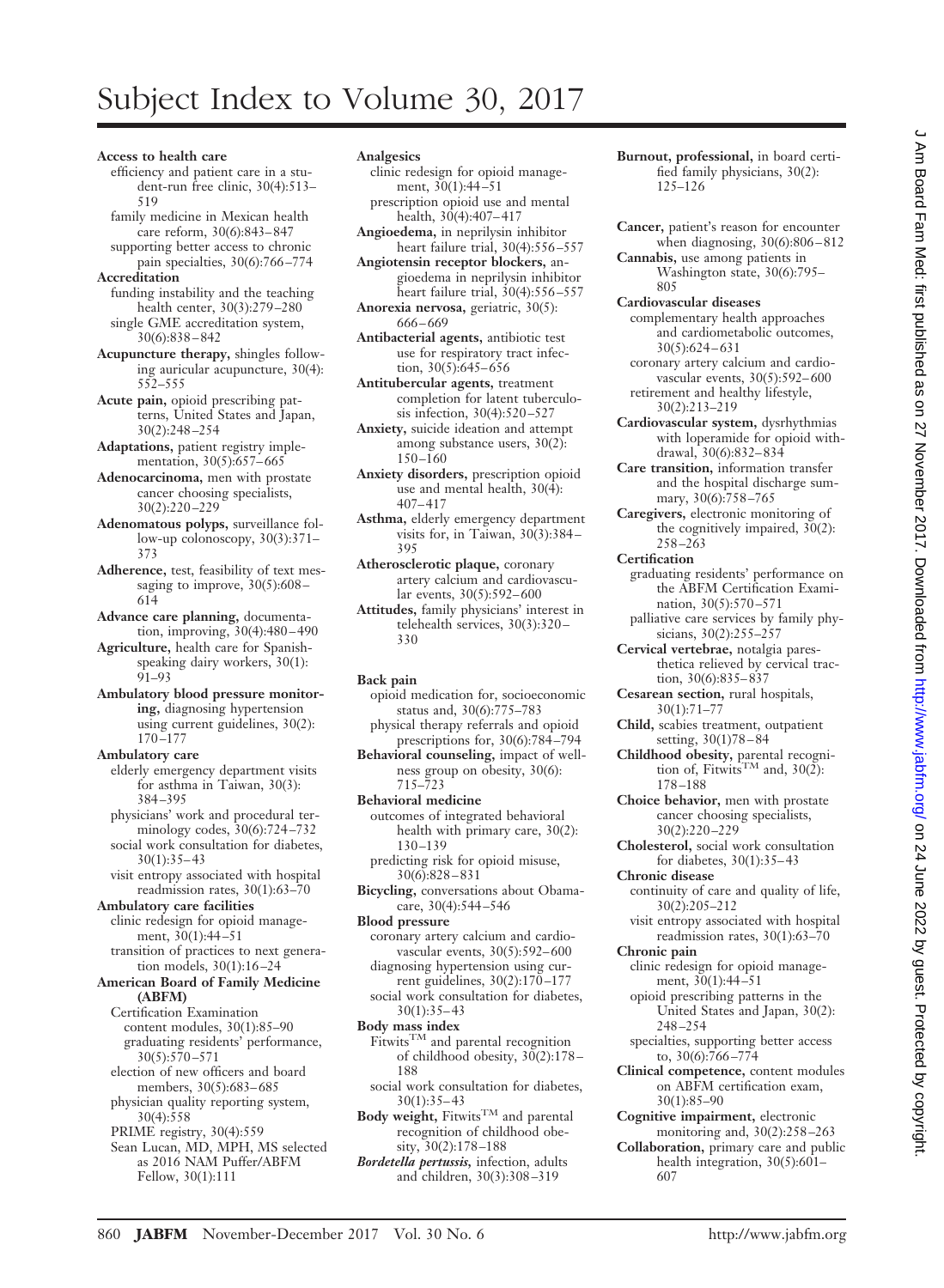# Subject Index to Volume 30, 2017

- **Access to health care**
	- efficiency and patient care in a student-run free clinic, 30(4):513– 519
	- family medicine in Mexican health care reform, 30(6):843– 847
- supporting better access to chronic pain specialties, 30(6):766 –774 **Accreditation**
- funding instability and the teaching health center, 30(3):279 –280 single GME accreditation system, 30(6):838 – 842
- **Acupuncture therapy,** shingles following auricular acupuncture, 30(4): 552–555
- **Acute pain,** opioid prescribing patterns, United States and Japan, 30(2):248 –254
- **Adaptations,** patient registry implementation, 30(5):657-665
- **Adenocarcinoma,** men with prostate cancer choosing specialists, 30(2):220 –229
- **Adenomatous polyps,** surveillance follow-up colonoscopy, 30(3):371– 373
- **Adherence,** test, feasibility of text messaging to improve,  $30(5):608-$ 614
- **Advance care planning,** documentation, improving, 30(4):480 – 490
- **Agriculture,** health care for Spanishspeaking dairy workers, 30(1): 91–93
- **Ambulatory blood pressure monitoring,** diagnosing hypertension using current guidelines, 30(2): 170 –177
- **Ambulatory care** elderly emergency department visits for asthma in Taiwan, 30(3): 384 –395
- physicians' work and procedural terminology codes, 30(6):724 –732 social work consultation for diabetes,
- $30(1):35-43$ visit entropy associated with hospital readmission rates, 30(1):63–70
- **Ambulatory care facilities** clinic redesign for opioid management, 30(1):44 –51
	- transition of practices to next generation models, 30(1):16 –24
- **American Board of Family Medicine (ABFM)**
	- Certification Examination content modules, 30(1):85–90 graduating residents' performance, 30(5):570 –571
	- election of new officers and board members, 30(5):683– 685 physician quality reporting system,
	- 30(4):558 PRIME registry, 30(4):559
	- Sean Lucan, MD, MPH, MS selected
	- as 2016 NAM Puffer/ABFM Fellow, 30(1):111

# **Analgesics**

- clinic redesign for opioid management,  $30(1):44-51$ prescription opioid use and mental
- health, 30(4):407-417 **Angioedema,** in neprilysin inhibitor
- heart failure trial, 30(4):556 –557 **Angiotensin receptor blockers,** an-
- gioedema in neprilysin inhibitor heart failure trial, 30(4):556 –557 **Anorexia nervosa,** geriatric, 30(5):
- 666 669 **Antibacterial agents,** antibiotic test
- use for respiratory tract infection, 30(5):645-656
- **Antitubercular agents,** treatment completion for latent tuberculosis infection, 30(4):520 –527
- **Anxiety,** suicide ideation and attempt among substance users, 30(2):  $150 - 160$
- **Anxiety disorders,** prescription opioid use and mental health,  $30(\overline{4})$ : 407– 417
- **Asthma,** elderly emergency department visits for, in Taiwan, 30(3):384 – 395
- **Atherosclerotic plaque,** coronary artery calcium and cardiovascular events, 30(5):592– 600
- **Attitudes,** family physicians' interest in telehealth services, 30(3):320 – 330

# **Back pain**

- opioid medication for, socioeconomic status and, 30(6):775–783 physical therapy referrals and opioid
- prescriptions for, 30(6):784 –794 **Behavioral counseling,** impact of wellness group on obesity, 30(6): 715–723
- **Behavioral medicine** outcomes of integrated behavioral health with primary care, 30(2): 130 –139
- predicting risk for opioid misuse, 30(6):828 – 831
- **Bicycling,** conversations about Obamacare, 30(4):544 –546
- **Blood pressure**
	- coronary artery calcium and cardiovascular events, 30(5):592– 600 diagnosing hypertension using cur-
- rent guidelines, 30(2):170 –177 social work consultation for diabetes, 30(1):35– 43
- **Body mass index**
- $Fitwits^{TM}$  and parental recognition of childhood obesity,  $30(2):178-$ 188
- social work consultation for diabetes,  $30(1):35-43$
- Body weight, Fitwits<sup>TM</sup> and parental recognition of childhood obe $sity, 30(2):178 - 188$
- *Bordetella pertussis,* infection, adults and children, 30(3):308 –319
- **Burnout, professional,** in board certified family physicians, 30(2): 125–126
- **Cancer,** patient's reason for encounter when diagnosing, 30(6):806 – 812
- **Cannabis,** use among patients in Washington state, 30(6):795– 805
- **Cardiovascular diseases**
- complementary health approaches and cardiometabolic outcomes, 30(5):624 – 631 coronary artery calcium and cardio-
- vascular events, 30(5):592-600 retirement and healthy lifestyle, 30(2):213–219
- **Cardiovascular system,** dysrhythmias with loperamide for opioid withdrawal, 30(6):832– 834
- **Care transition,** information transfer and the hospital discharge summary, 30(6):758 –765
- **Caregivers,** electronic monitoring of the cognitively impaired,  $30(2)$ : 258 –263
- **Certification**
- graduating residents' performance on the ABFM Certification Examination, 30(5):570 –571
- palliative care services by family physicians, 30(2):255-257
- **Cervical vertebrae,** notalgia paresthetica relieved by cervical traction, 30(6):835– 837
- **Cesarean section,** rural hospitals, 30(1):71–77
- **Child,** scabies treatment, outpatient setting, 30(1)78 – 84
- **Childhood obesity,** parental recognition of, Fitwits<sup>TM</sup> and,  $30(2)$ : 178 –188
- **Choice behavior,** men with prostate cancer choosing specialists, 30(2):220 –229
- **Cholesterol,** social work consultation for diabetes, 30(1):35– 43
- **Chronic disease**
	- continuity of care and quality of life, 30(2):205–212
	- visit entropy associated with hospital readmission rates, 30(1):63–70
- **Chronic pain**
	- clinic redesign for opioid management, 30(1):44 –51
	- opioid prescribing patterns in the United States and Japan, 30(2): 248 –254
- specialties, supporting better access to,  $30(6)$ :766-774
- **Clinical competence,** content modules on ABFM certification exam, 30(1):85–90
- **Cognitive impairment,** electronic monitoring and, 30(2):258 –263
- **Collaboration,** primary care and public health integration, 30(5):601– 607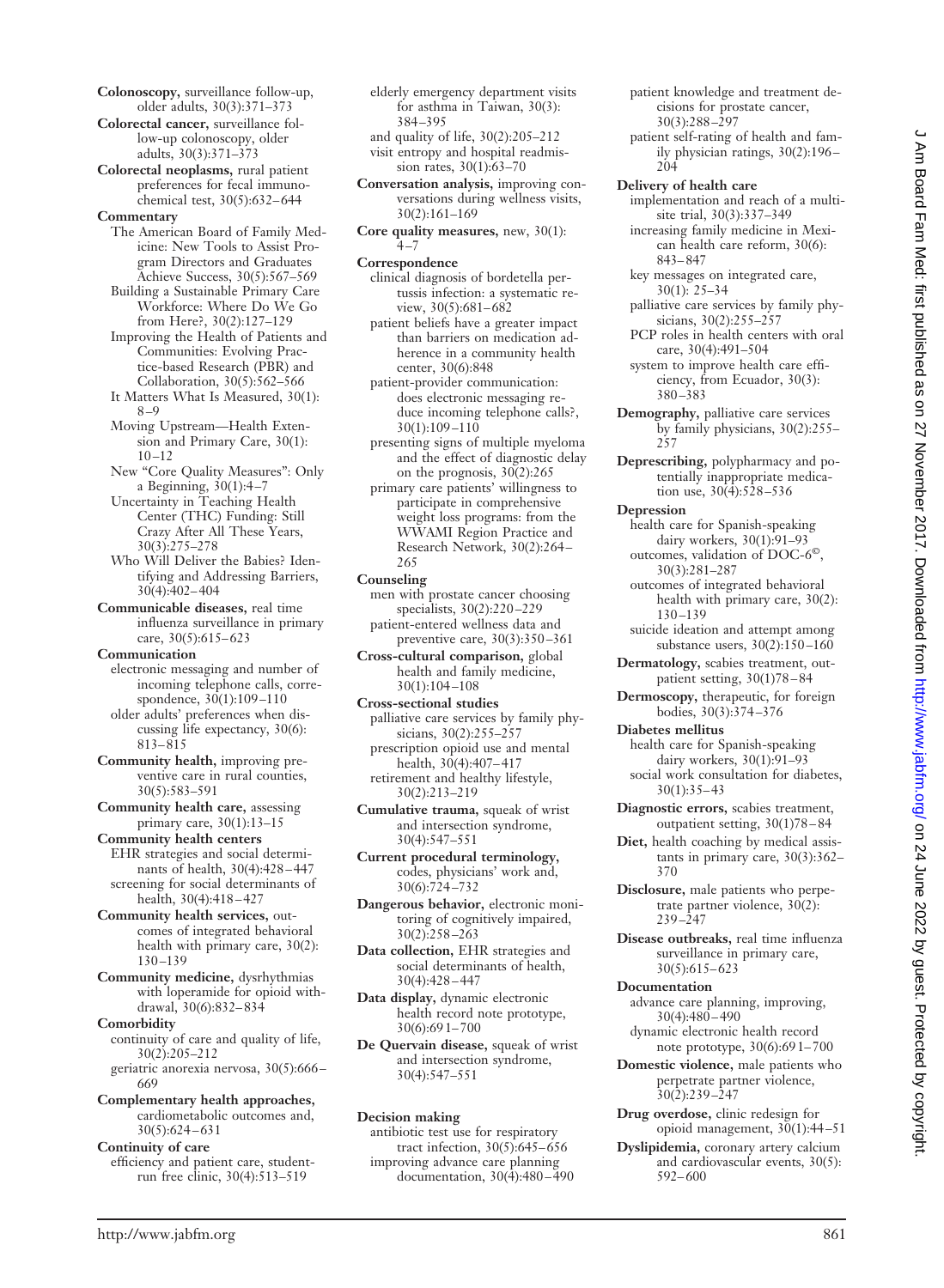- **Colonoscopy,** surveillance follow-up, older adults, 30(3):371–373
- **Colorectal cancer,** surveillance follow-up colonoscopy, older adults, 30(3):371–373
- **Colorectal neoplasms,** rural patient preferences for fecal immunochemical test, 30(5):632– 644

#### **Commentary**

The American Board of Family Medicine: New Tools to Assist Program Directors and Graduates Achieve Success, 30(5):567–569

- Building a Sustainable Primary Care Workforce: Where Do We Go from Here?, 30(2):127–129
- Improving the Health of Patients and Communities: Evolving Practice-based Research (PBR) and Collaboration, 30(5):562–566
- It Matters What Is Measured, 30(1): 8 –9
- Moving Upstream—Health Extension and Primary Care, 30(1):  $10 - 12$
- New "Core Quality Measures": Only a Beginning, 30(1):4 –7
- Uncertainty in Teaching Health Center (THC) Funding: Still Crazy After All These Years, 30(3):275–278
- Who Will Deliver the Babies? Identifying and Addressing Barriers, 30(4):402– 404
- **Communicable diseases,** real time influenza surveillance in primary care, 30(5):615– 623
- **Communication**
- electronic messaging and number of incoming telephone calls, correspondence,  $30(1):109-110$
- older adults' preferences when discussing life expectancy, 30(6): 813– 815
- **Community health,** improving preventive care in rural counties, 30(5):583–591
- **Community health care,** assessing primary care, 30(1):13–15
- **Community health centers** EHR strategies and social determinants of health, 30(4):428 – 447 screening for social determinants of health, 30(4):418-427
- **Community health services,** outcomes of integrated behavioral health with primary care, 30(2): 130 –139
- **Community medicine,** dysrhythmias with loperamide for opioid withdrawal, 30(6):832– 834
- **Comorbidity** continuity of care and quality of life, 30(2):205–212 geriatric anorexia nervosa, 30(5):666 –
- 669 **Complementary health approaches,** cardiometabolic outcomes and,
- $30(5):624 631$ **Continuity of care** efficiency and patient care, studentrun free clinic, 30(4):513–519
- elderly emergency department visits for asthma in Taiwan, 30(3): 384 –395
- and quality of life, 30(2):205–212 visit entropy and hospital readmission rates, 30(1):63–70
- **Conversation analysis,** improving conversations during wellness visits, 30(2):161–169
- **Core quality measures,** new, 30(1):  $4 - 7$
- **Correspondence**
	- clinical diagnosis of bordetella pertussis infection: a systematic review,  $30(5):681-682$
	- patient beliefs have a greater impact than barriers on medication adherence in a community health center, 30(6):848
	- patient-provider communication: does electronic messaging reduce incoming telephone calls?, 30(1):109 –110
	- presenting signs of multiple myeloma and the effect of diagnostic delay on the prognosis, 30(2):265
	- primary care patients' willingness to participate in comprehensive weight loss programs: from the WWAMI Region Practice and Research Network, 30(2):264 – 265
- **Counseling**
- men with prostate cancer choosing specialists, 30(2):220 –229 patient-entered wellness data and preventive care, 30(3):350 –361
- **Cross-cultural comparison,** global health and family medicine, 30(1):104 –108
- **Cross-sectional studies** palliative care services by family physicians, 30(2):255-257
- prescription opioid use and mental health, 30(4):407– 417 retirement and healthy lifestyle, 30(2):213–219
- **Cumulative trauma,** squeak of wrist and intersection syndrome, 30(4):547–551
- **Current procedural terminology,** codes, physicians' work and, 30(6):724–732
- **Dangerous behavior,** electronic monitoring of cognitively impaired, 30(2):258 –263
- **Data collection,** EHR strategies and social determinants of health, 30(4):428 – 447
- **Data display,** dynamic electronic health record note prototype, 30(6):69 1– 700
- **De Quervain disease,** squeak of wrist and intersection syndrome, 30(4):547–551
- **Decision making**
- antibiotic test use for respiratory tract infection, 30(5):645– 656 improving advance care planning documentation, 30(4):480 – 490
- patient knowledge and treatment decisions for prostate cancer, 30(3):288 –297
- patient self-rating of health and family physician ratings, 30(2):196 – 204
- **Delivery of health care**
- implementation and reach of a multisite trial, 30(3):337–349
- increasing family medicine in Mexican health care reform, 30(6): 843– 847
- key messages on integrated care, 30(1): 25–34
- palliative care services by family physicians, 30(2):255-257
- PCP roles in health centers with oral care, 30(4):491–504
- system to improve health care efficiency, from Ecuador, 30(3): 380 –383
- **Demography,** palliative care services by family physicians, 30(2):255– 257
- **Deprescribing,** polypharmacy and potentially inappropriate medication use, 30(4):528 –536
- **Depression**
- health care for Spanish-speaking dairy workers, 30(1):91–93 outcomes, validation of DOC-6©,
- 30(3):281–287 outcomes of integrated behavioral health with primary care, 30(2): 130 –139
- suicide ideation and attempt among substance users,  $30(2):150-160$
- **Dermatology,** scabies treatment, outpatient setting, 30(1)78 – 84
- **Dermoscopy,** therapeutic, for foreign bodies, 30(3):374 –376
- **Diabetes mellitus**
- health care for Spanish-speaking dairy workers, 30(1):91–93 social work consultation for diabetes,  $30(1):35-43$
- **Diagnostic errors,** scabies treatment, outpatient setting, 30(1)78 – 84
- **Diet,** health coaching by medical assistants in primary care, 30(3):362– 370
- **Disclosure,** male patients who perpetrate partner violence, 30(2):  $239 - 247$
- **Disease outbreaks,** real time influenza surveillance in primary care, 30(5):615– 623

## **Documentation**

- advance care planning, improving,  $30(4):480-490$
- dynamic electronic health record note prototype, 30(6):69 1– 700
- **Domestic violence,** male patients who perpetrate partner violence,  $30(2):239 - 247$
- **Drug overdose,** clinic redesign for opioid management, 30(1):44 –51
- **Dyslipidemia,** coronary artery calcium and cardiovascular events, 30(5): 592– 600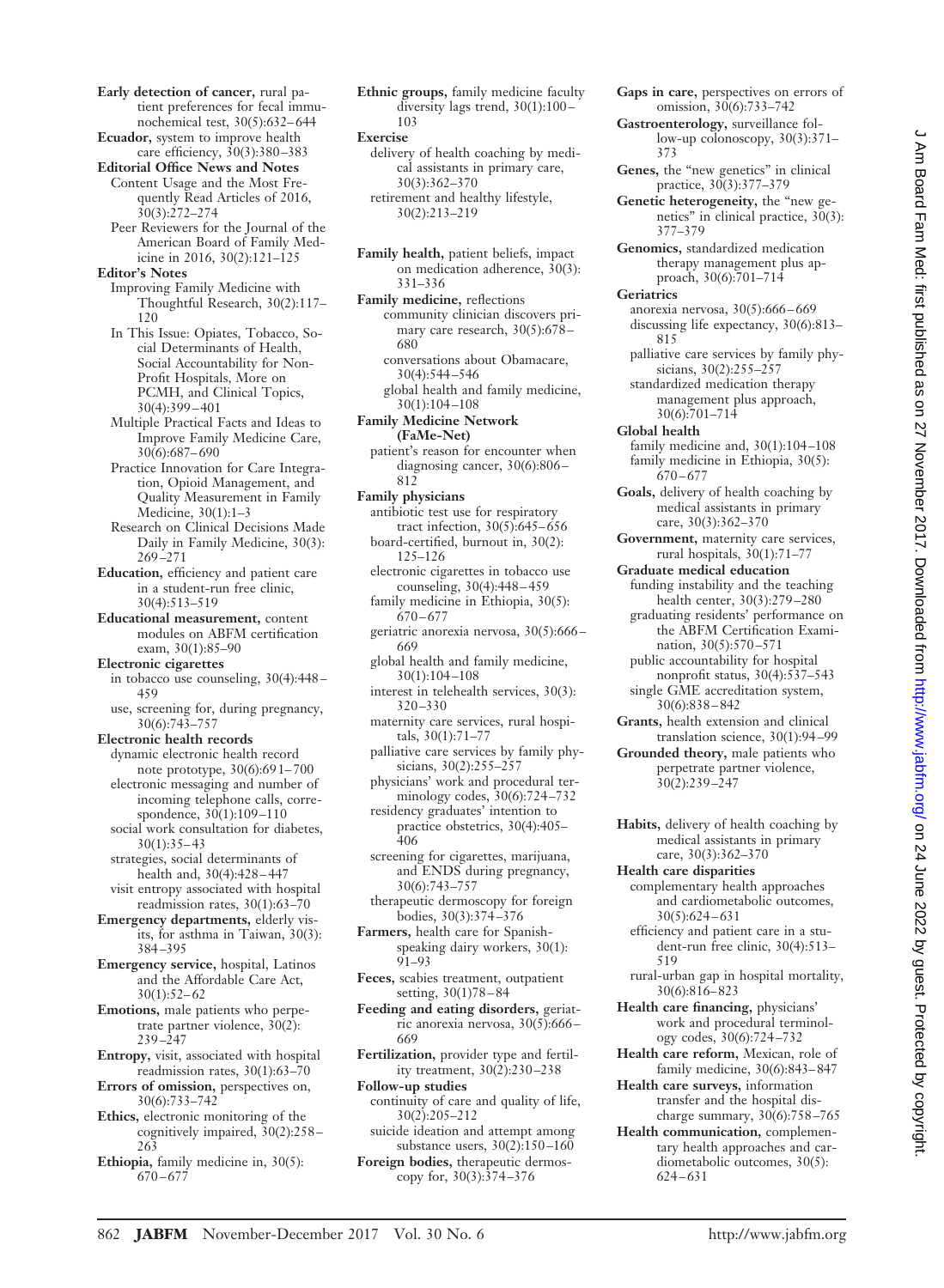**Early detection of cancer,** rural patient preferences for fecal immunochemical test, 30(5):632– 644 **Ecuador,** system to improve health care efficiency, 30(3):380 –383 **Editorial Office News and Notes** Content Usage and the Most Frequently Read Articles of 2016, 30(3):272–274 Peer Reviewers for the Journal of the American Board of Family Medicine in 2016, 30(2):121–125 **Editor's Notes** Improving Family Medicine with Thoughtful Research, 30(2):117– 120 In This Issue: Opiates, Tobacco, Social Determinants of Health, Social Accountability for Non-Profit Hospitals, More on PCMH, and Clinical Topics, 30(4):399 – 401 Multiple Practical Facts and Ideas to Improve Family Medicine Care, 30(6):687– 690 Practice Innovation for Care Integration, Opioid Management, and Quality Measurement in Family Medicine, 30(1):1–3 Research on Clinical Decisions Made Daily in Family Medicine, 30(3): 269 –271 **Education,** efficiency and patient care in a student-run free clinic, 30(4):513–519 **Educational measurement,** content modules on ABFM certification exam, 30(1):85–90 **Electronic cigarettes** in tobacco use counseling, 30(4):448 – 459 use, screening for, during pregnancy, 30(6):743–757 **Electronic health records** dynamic electronic health record note prototype, 30(6):69 1– 700 electronic messaging and number of incoming telephone calls, correspondence, 30(1):109 –110 social work consultation for diabetes,  $30(1):35-43$ strategies, social determinants of health and, 30(4):428 – 447 visit entropy associated with hospital readmission rates, 30(1):63–70 **Emergency departments,** elderly visits, for asthma in Taiwan, 30(3): 384 –395 **Emergency service,** hospital, Latinos and the Affordable Care Act,  $30(1):52-62$ **Emotions,** male patients who perpetrate partner violence, 30(2): 239 –247 **Entropy,** visit, associated with hospital readmission rates, 30(1):63–70 **Errors of omission,** perspectives on, 30(6):733–742 **Ethics,** electronic monitoring of the cognitively impaired, 30(2):258 – 263 **Ethiopia,** family medicine in, 30(5):  $670 - 677$ 

**Ethnic groups,** family medicine faculty diversity lags trend, 30(1):100 – 103

**Exercise**

delivery of health coaching by medical assistants in primary care, 30(3):362–370 retirement and healthy lifestyle, 30(2):213–219

**Family health,** patient beliefs, impact on medication adherence, 30(3): 331–336

**Family medicine,** reflections community clinician discovers primary care research,  $30(5):678-$ 680

conversations about Obamacare, 30(4):544 –546 global health and family medicine,

30(1):104 –108 **Family Medicine Network**

**(FaMe-Net)** patient's reason for encounter when

diagnosing cancer, 30(6):806 – 812

**Family physicians**

antibiotic test use for respiratory tract infection, 30(5):645– 656 board-certified, burnout in, 30(2): 125–126

electronic cigarettes in tobacco use counseling, 30(4):448 – 459

family medicine in Ethiopia, 30(5):  $670 - 677$ 

geriatric anorexia nervosa, 30(5):666 – 669

global health and family medicine, 30(1):104 –108

interest in telehealth services, 30(3): 320–330

maternity care services, rural hospitals, 30(1):71–77

palliative care services by family physicians, 30(2):255-257

physicians' work and procedural terminology codes, 30(6):724 –732

residency graduates' intention to practice obstetrics, 30(4):405– 406

screening for cigarettes, marijuana, and ENDS during pregnancy, 30(6):743–757

therapeutic dermoscopy for foreign bodies, 30(3):374 –376

**Farmers,** health care for Spanishspeaking dairy workers, 30(1): 91–93

**Feces,** scabies treatment, outpatient setting, 30(1)78 – 84

**Feeding and eating disorders,** geriatric anorexia nervosa, 30(5):666 – 669

**Fertilization,** provider type and fertility treatment, 30(2):230 –238

**Follow-up studies** continuity of care and quality of life, 30(2):205–212

suicide ideation and attempt among substance users, 30(2):150 –160

**Foreign bodies,** therapeutic dermoscopy for, 30(3):374 –376

**Gaps in care,** perspectives on errors of omission, 30(6):733–742

**Gastroenterology,** surveillance follow-up colonoscopy, 30(3):371– 373

**Genes,** the "new genetics" in clinical practice, 30(3):377–379

**Genetic heterogeneity,** the "new genetics" in clinical practice, 30(3): 377–379

**Genomics,** standardized medication therapy management plus approach, 30(6):701–714

**Geriatrics**

anorexia nervosa, 30(5):666 – 669 discussing life expectancy, 30(6):813– 815

palliative care services by family physicians, 30(2):255-257 standardized medication therapy

management plus approach, 30(6):701–714 **Global health**

family medicine and, 30(1):104 –108 family medicine in Ethiopia, 30(5):  $670 - 677$ 

**Goals,** delivery of health coaching by medical assistants in primary care, 30(3):362–370

**Government,** maternity care services, rural hospitals,  $30(1):71-77$ 

**Graduate medical education** funding instability and the teaching health center, 30(3):279 –280

graduating residents' performance on the ABFM Certification Examination, 30(5):570 –571

public accountability for hospital nonprofit status, 30(4):537–543 single GME accreditation system, 30(6):838 – 842

**Grants,** health extension and clinical translation science, 30(1):94 –99

**Grounded theory,** male patients who perpetrate partner violence, 30(2):239 –247

**Habits,** delivery of health coaching by medical assistants in primary care, 30(3):362–370

**Health care disparities** complementary health approaches and cardiometabolic outcomes, 30(5):624 – 631

efficiency and patient care in a student-run free clinic, 30(4):513– 519

rural-urban gap in hospital mortality, 30(6):816– 823

**Health care financing,** physicians' work and procedural terminology codes, 30(6):724 –732

**Health care reform,** Mexican, role of family medicine, 30(6):843– 847

**Health care surveys,** information transfer and the hospital discharge summary,  $30(6):758-765$ 

**Health communication,** complementary health approaches and cardiometabolic outcomes, 30(5): 624 – 631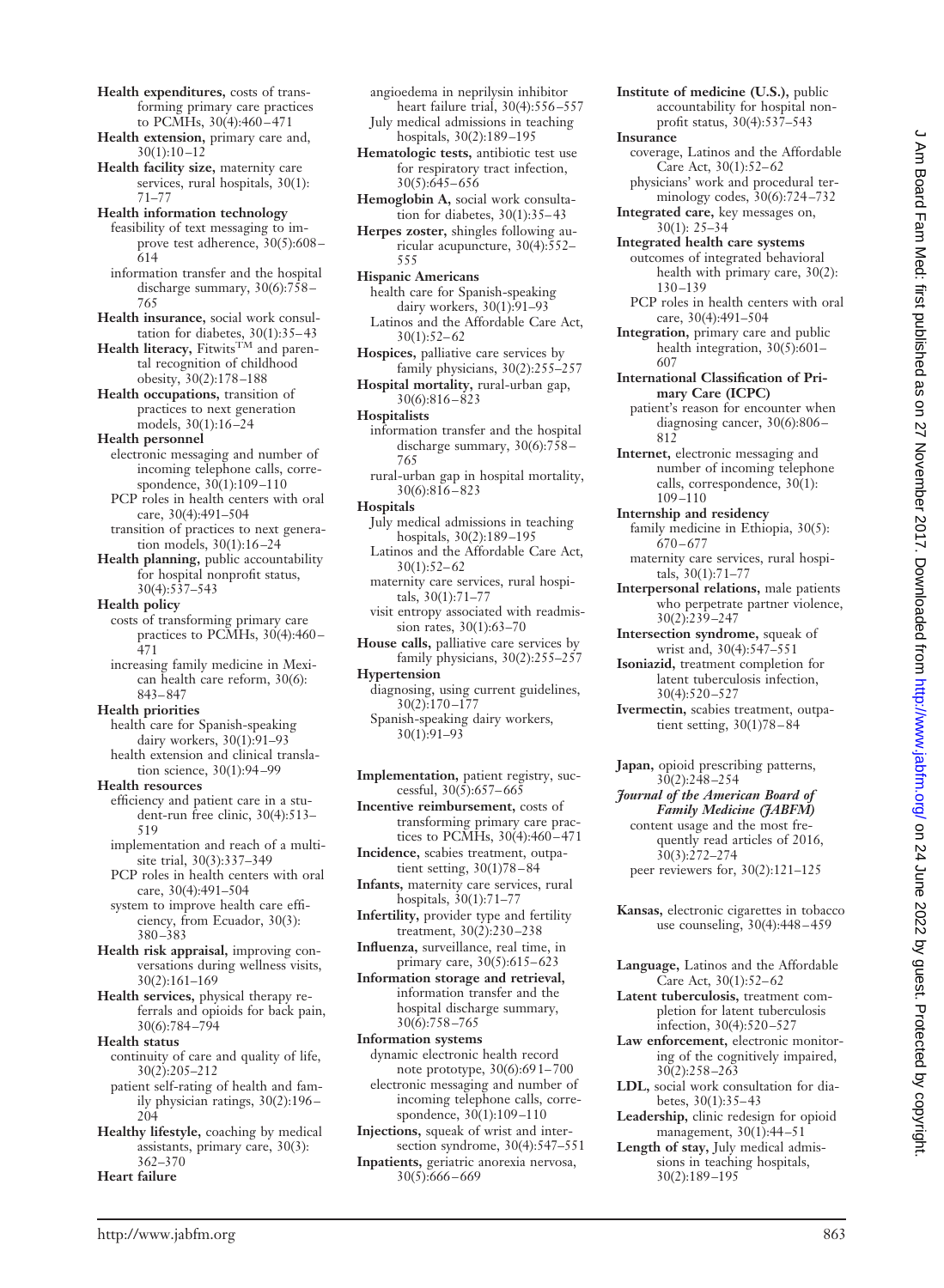- **Health expenditures,** costs of transforming primary care practices to PCMHs, 30(4):460 – 471
- **Health extension,** primary care and, 30(1):10 –12
- **Health facility size,** maternity care services, rural hospitals, 30(1): 71–77
- **Health information technology** feasibility of text messaging to improve test adherence, 30(5):608 – 614
	- information transfer and the hospital discharge summary,  $30(6):758-$ 765
- **Health insurance,** social work consultation for diabetes, 30(1):35–43<br>**Health literacy,** Fitwits<sup>TM</sup> and paren-
- tal recognition of childhood obesity, 30(2):178 –188
- **Health occupations,** transition of practices to next generation models, 30(1):16 –24
- **Health personnel**
	- electronic messaging and number of incoming telephone calls, correspondence,  $30(1):109-110$
- PCP roles in health centers with oral care, 30(4):491–504 transition of practices to next genera-
- tion models, 30(1):16 –24 **Health planning,** public accountability
- for hospital nonprofit status, 30(4):537–543
- **Health policy**
	- costs of transforming primary care practices to PCMHs,  $30(4):460-$ 471
	- increasing family medicine in Mexican health care reform, 30(6): 843– 847

#### **Health priorities**

- health care for Spanish-speaking dairy workers, 30(1):91–93 health extension and clinical transla-
- tion science, 30(1):94 –99 **Health resources**
	- efficiency and patient care in a student-run free clinic, 30(4):513– 519
	- implementation and reach of a multisite trial, 30(3):337–349 PCP roles in health centers with oral
	- care, 30(4):491–504 system to improve health care effi-
	- ciency, from Ecuador, 30(3): 380 –383
- **Health risk appraisal,** improving conversations during wellness visits, 30(2):161–169
- **Health services,** physical therapy referrals and opioids for back pain, 30(6):784 –794
- **Health status** continuity of care and quality of life, 30(2):205–212 patient self-rating of health and fam
	- ily physician ratings, 30(2):196 204
- **Healthy lifestyle,** coaching by medical assistants, primary care, 30(3): 362–370

**Heart failure**

- angioedema in neprilysin inhibitor heart failure trial,  $30(4):556-557$ July medical admissions in teaching
- hospitals, 30(2):189 –195 **Hematologic tests,** antibiotic test use
- for respiratory tract infection,  $30(5): 645 - 656$
- **Hemoglobin A,** social work consultation for diabetes,  $30(1):35-43$
- **Herpes zoster,** shingles following auricular acupuncture, 30(4):552– 555
- **Hispanic Americans** health care for Spanish-speaking dairy workers, 30(1):91–93 Latinos and the Affordable Care Act,  $30(1):52-62$
- **Hospices,** palliative care services by family physicians, 30(2):255–257
- **Hospital mortality,** rural-urban gap,  $30(6):816 - 823$
- **Hospitalists**
	- information transfer and the hospital discharge summary, 30(6):758 – 765
	- rural-urban gap in hospital mortality, 30(6):816 – 823
- **Hospitals**
- July medical admissions in teaching hospitals, 30(2):189 –195
- Latinos and the Affordable Care Act,  $30(1):52-62$ maternity care services, rural hospi-
- tals, 30(1):71–77 visit entropy associated with readmis-
- sion rates, 30(1):63–70
- **House calls,** palliative care services by family physicians, 30(2):255–257
- **Hypertension**
	- diagnosing, using current guidelines,  $30(2):170 - 177$ Spanish-speaking dairy workers, 30(1):91–93
- **Implementation,** patient registry, successful,  $30(\overline{5})$ :657–665
- **Incentive reimbursement,** costs of transforming primary care practices to PCMHs,  $30(4):460-471$
- **Incidence,** scabies treatment, outpatient setting, 30(1)78 – 84
- **Infants,** maternity care services, rural hospitals, 30(1):71–77
- **Infertility,** provider type and fertility treatment, 30(2):230-238
- **Influenza,** surveillance, real time, in primary care, 30(5):615– 623
- **Information storage and retrieval,** information transfer and the hospital discharge summary,  $30(6):758 - 765$
- **Information systems** dynamic electronic health record note prototype, 30(6):69 1– 700 electronic messaging and number of incoming telephone calls, correspondence, 30(1):109 –110
- **Injections,** squeak of wrist and intersection syndrome, 30(4):547–551 **Inpatients,** geriatric anorexia nervosa, 30(5):666 – 669
- **Institute of medicine (U.S.),** public accountability for hospital nonprofit status, 30(4):537–543
- **Insurance**
- coverage, Latinos and the Affordable Care Act, 30(1):52-62
- physicians' work and procedural terminology codes, 30(6):724 –732 **Integrated care,** key messages on,
- 30(1): 25–34 **Integrated health care systems** outcomes of integrated behavioral
- health with primary care, 30(2): 130 –139
- PCP roles in health centers with oral care, 30(4):491–504
- **Integration,** primary care and public health integration, 30(5):601– 607
- **International Classification of Primary Care (ICPC)**
	- patient's reason for encounter when diagnosing cancer, 30(6):806 – 812
- **Internet,** electronic messaging and number of incoming telephone calls, correspondence, 30(1): 109 –110
- **Internship and residency**
- family medicine in Ethiopia, 30(5): 670 – 677 maternity care services, rural hospi-
- tals, 30(1):71–77 **Interpersonal relations,** male patients who perpetrate partner violence, 30(2):239 –247
- **Intersection syndrome,** squeak of
- wrist and, 30(4):547–551 **Isoniazid,** treatment completion for latent tuberculosis infection, 30(4):520 –527
- **Ivermectin,** scabies treatment, outpatient setting, 30(1)78 – 84
- **Japan,** opioid prescribing patterns, 30(2):248 –254
- *Journal of the American Board of Family Medicine (JABFM)* content usage and the most frequently read articles of 2016,  $30(3):272-274$ peer reviewers for, 30(2):121–125
- **Kansas,** electronic cigarettes in tobacco use counseling, 30(4):448 – 459
- **Language,** Latinos and the Affordable Care Act, 30(1):52– 62
- **Latent tuberculosis,** treatment completion for latent tuberculosis infection, 30(4):520 –527
- **Law enforcement,** electronic monitoring of the cognitively impaired, 30(2):258 –263
- **LDL,** social work consultation for diabetes, 30(1):35– 43
- **Leadership,** clinic redesign for opioid management, 30(1):44-51
- **Length of stay,** July medical admissions in teaching hospitals, 30(2):189 –195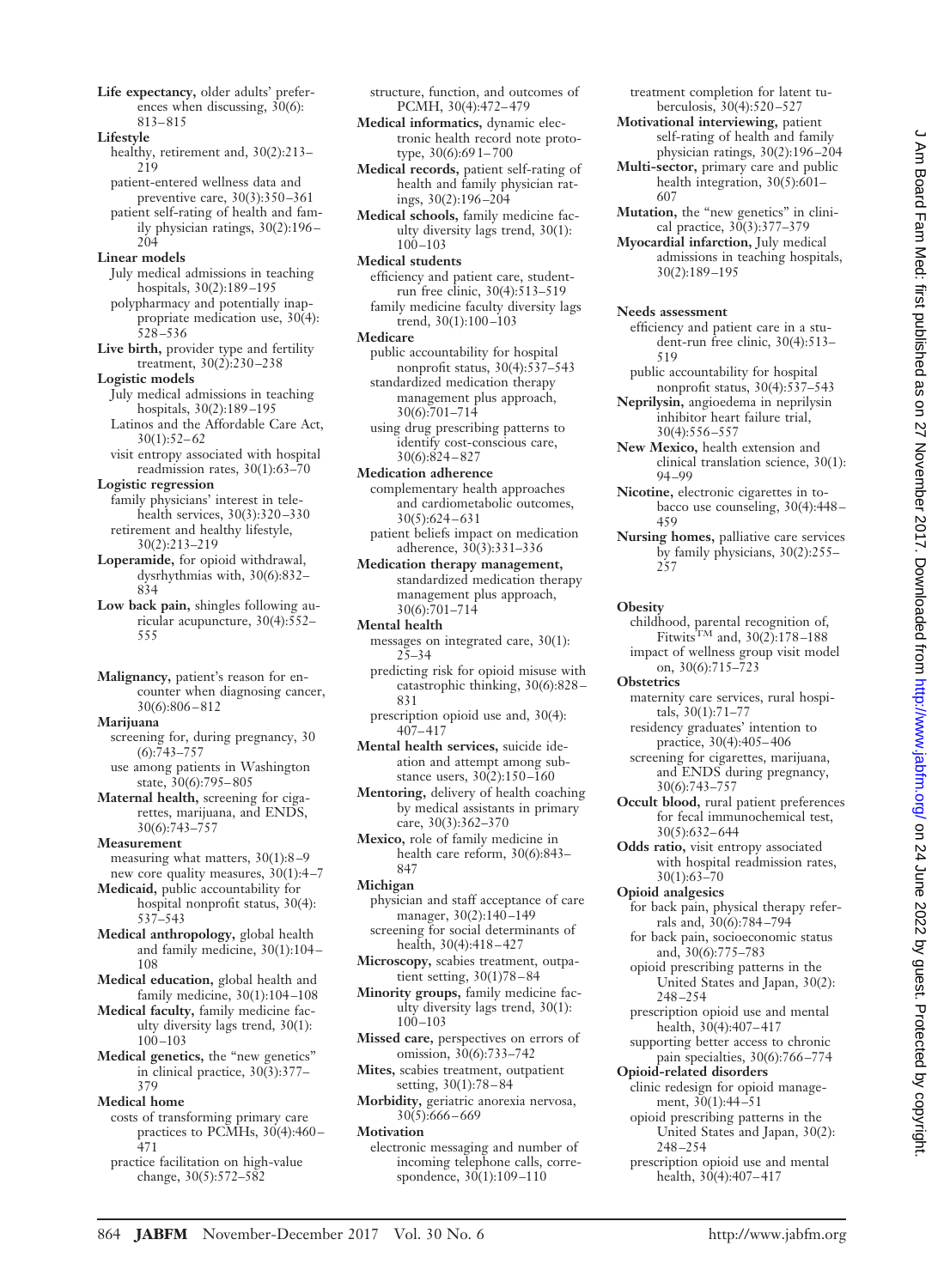**Life expectancy,** older adults' preferences when discussing,  $30(6)$ : 813– 815

**Lifestyle**

- healthy, retirement and, 30(2):213– 219
- patient-entered wellness data and preventive care, 30(3):350 –361
- patient self-rating of health and family physician ratings, 30(2):196 – 204

## **Linear models**

- July medical admissions in teaching hospitals, 30(2):189 –195 polypharmacy and potentially inap-
- propriate medication use, 30(4): 528 –536
- **Live birth,** provider type and fertility treatment, 30(2):230 –238
- **Logistic models** July medical admissions in teaching hospitals, 30(2):189 –195 Latinos and the Affordable Care Act,  $30(1):52-62$
- visit entropy associated with hospital readmission rates, 30(1):63–70
- **Logistic regression** family physicians' interest in telehealth services, 30(3):320 –330 retirement and healthy lifestyle,
- 30(2):213–219 **Loperamide,** for opioid withdrawal, dysrhythmias with, 30(6):832– 834
- **Low back pain,** shingles following auricular acupuncture, 30(4):552– 555
- **Malignancy,** patient's reason for encounter when diagnosing cancer, 30(6):806 – 812

**Marijuana**

- screening for, during pregnancy, 30  $(6): 743 - 757$
- use among patients in Washington state,  $30(6):795-805$
- **Maternal health,** screening for cigarettes, marijuana, and ENDS, 30(6):743–757

**Measurement**

- measuring what matters, 30(1):8 –9 new core quality measures, 30(1):4 –7 **Medicaid,** public accountability for
- hospital nonprofit status, 30(4): 537–543
- **Medical anthropology,** global health and family medicine, 30(1):104 – 108
- **Medical education,** global health and family medicine, 30(1):104 –108
- **Medical faculty,** family medicine faculty diversity lags trend, 30(1): 100 –103
- **Medical genetics,** the "new genetics" in clinical practice, 30(3):377– 379
- **Medical home**
- costs of transforming primary care practices to PCMHs, 30(4):460 – 471
- practice facilitation on high-value change, 30(5):572–582

structure, function, and outcomes of PCMH, 30(4):472– 479

- **Medical informatics,** dynamic electronic health record note prototype, 30(6):69 1– 700
- **Medical records,** patient self-rating of health and family physician ratings, 30(2):196 –204
- **Medical schools,** family medicine faculty diversity lags trend, 30(1):  $100 - 103$
- **Medical students** efficiency and patient care, studentrun free clinic, 30(4):513–519 family medicine faculty diversity lags trend, 30(1):100 –103
- **Medicare**
- public accountability for hospital nonprofit status, 30(4):537–543 standardized medication therapy management plus approach,
- 30(6):701–714 using drug prescribing patterns to identify cost-conscious care, 30(6):824 – 827
- **Medication adherence** complementary health approaches and cardiometabolic outcomes, 30(5):624 – 631
- patient beliefs impact on medication adherence, 30(3):331–336
- **Medication therapy management,** standardized medication therapy management plus approach, 30(6):701–714
- **Mental health**
	- messages on integrated care, 30(1): 25–34
	- predicting risk for opioid misuse with catastrophic thinking, 30(6):828 – 831
	- prescription opioid use and, 30(4):  $407 - 417$
- **Mental health services,** suicide ideation and attempt among substance users,  $30(2):150-160$
- **Mentoring,** delivery of health coaching by medical assistants in primary care, 30(3):362–370
- **Mexico,** role of family medicine in health care reform, 30(6):843– 847
- **Michigan**
- physician and staff acceptance of care manager,  $30(2):140-149$ screening for social determinants of health, 30(4):418-427
- **Microscopy,** scabies treatment, outpatient setting, 30(1)78 – 84
- **Minority groups,** family medicine faculty diversity lags trend, 30(1): 100 –103
- **Missed care,** perspectives on errors of omission, 30(6):733–742
- **Mites,** scabies treatment, outpatient setting, 30(1):78 – 84
- **Morbidity,** geriatric anorexia nervosa, 30(5):666 – 669
- **Motivation**
- electronic messaging and number of incoming telephone calls, correspondence, 30(1):109 –110

treatment completion for latent tuberculosis, 30(4):520 –527

- **Motivational interviewing,** patient self-rating of health and family physician ratings, 30(2):196 –204
- **Multi-sector,** primary care and public health integration, 30(5):601– 607
- **Mutation,** the "new genetics" in clinical practice, 30(3):377–379
- **Myocardial infarction,** July medical admissions in teaching hospitals, 30(2):189 –195

## **Needs assessment**

- efficiency and patient care in a student-run free clinic, 30(4):513– 519
- public accountability for hospital nonprofit status, 30(4):537–543
- **Neprilysin,** angioedema in neprilysin inhibitor heart failure trial, 30(4):556 –557
- **New Mexico,** health extension and clinical translation science, 30(1): 94 –99
- **Nicotine,** electronic cigarettes in tobacco use counseling, 30(4):448 – 459
- **Nursing homes,** palliative care services by family physicians, 30(2):255– 257

## **Obesity**

- childhood, parental recognition of, Fitwits<sup>TM</sup> and,  $30(2)$ :178-188 impact of wellness group visit model
- on, 30(6):715–723 **Obstetrics**
	- maternity care services, rural hospitals,  $30(1):71-7$
	- residency graduates' intention to practice, 30(4):405– 406 screening for cigarettes, marijuana,
	- and ENDS during pregnancy, 30(6):743–757
- **Occult blood,** rural patient preferences for fecal immunochemical test, 30(5):632– 644
- **Odds ratio,** visit entropy associated with hospital readmission rates, 30(1):63–70
- **Opioid analgesics**
- for back pain, physical therapy referrals and, 30(6):784 –794
- for back pain, socioeconomic status and, 30(6):775–783
- opioid prescribing patterns in the United States and Japan, 30(2): 248 –254
- prescription opioid use and mental health, 30(4):407-417
- supporting better access to chronic pain specialties, 30(6):766 –774
- **Opioid-related disorders** clinic redesign for opioid manage-
- ment, 30(1):44 –51 opioid prescribing patterns in the
- United States and Japan, 30(2): 248 –254 prescription opioid use and mental
- health, 30(4):407– 417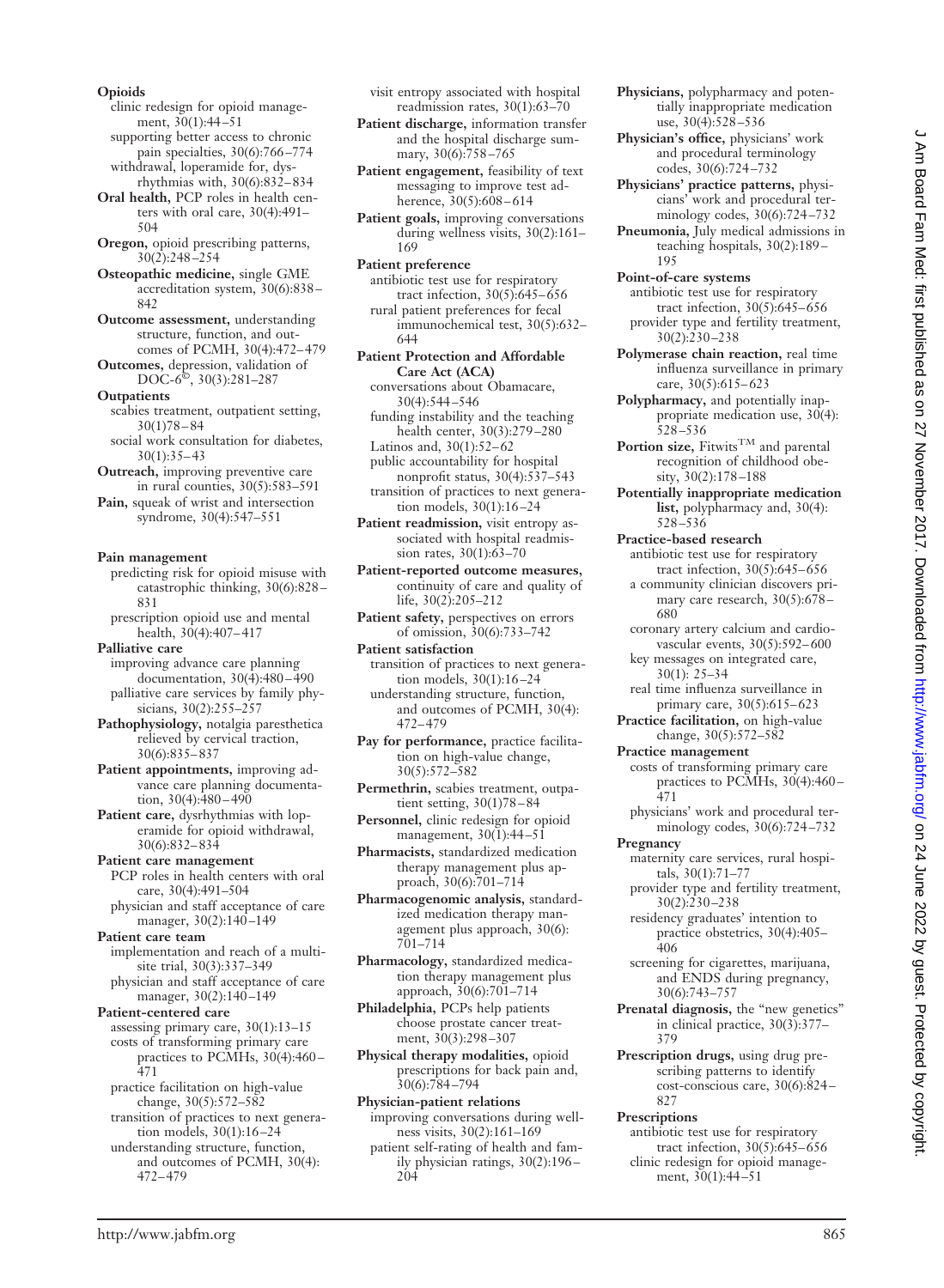clinic redesign for opioid management,  $30(1):44-51$ supporting better access to chronic

pain specialties, 30(6):766-774 withdrawal, loperamide for, dysrhythmias with, 30(6):832– 834

**Oral health,** PCP roles in health centers with oral care, 30(4):491– 504

**Oregon,** opioid prescribing patterns, 30(2):248 –254

**Osteopathic medicine,** single GME accreditation system, 30(6):838 – 842

**Outcome assessment,** understanding structure, function, and outcomes of PCMH, 30(4):472– 479

**Outcomes,** depression, validation of DOC-6©, 30(3):281–287

**Outpatients** scabies treatment, outpatient setting,  $30(1)78 - 84$ 

social work consultation for diabetes,  $30(1):35-43$ 

**Outreach,** improving preventive care in rural counties, 30(5):583–591

**Pain,** squeak of wrist and intersection syndrome, 30(4):547–551

## **Pain management**

predicting risk for opioid misuse with catastrophic thinking, 30(6):828 – 831

prescription opioid use and mental health, 30(4):407– 417

**Palliative care** improving advance care planning documentation, 30(4):480 – 490 palliative care services by family physicians, 30(2):255-257

**Pathophysiology,** notalgia paresthetica relieved by cervical traction, 30(6):835– 837

**Patient appointments,** improving advance care planning documentation,  $30(4):480-490$ 

**Patient care,** dysrhythmias with loperamide for opioid withdrawal, 30(6):832– 834

**Patient care management** PCP roles in health centers with oral care, 30(4):491–504 physician and staff acceptance of care

manager, 30(2):140-149 **Patient care team**

implementation and reach of a multisite trial, 30(3):337–349 physician and staff acceptance of care

manager, 30(2):140-149 **Patient-centered care**

assessing primary care, 30(1):13–15 costs of transforming primary care practices to PCMHs, 30(4):460 – 471

practice facilitation on high-value change, 30(5):572–582

transition of practices to next generation models, 30(1):16 –24

understanding structure, function, and outcomes of PCMH, 30(4): 472– 479

visit entropy associated with hospital readmission rates, 30(1):63–70

**Patient discharge,** information transfer and the hospital discharge summary, 30(6):758-765

**Patient engagement,** feasibility of text messaging to improve test adherence,  $30(5):608 - 614$ 

**Patient goals,** improving conversations during wellness visits, 30(2):161– 169

**Patient preference** antibiotic test use for respiratory tract infection, 30(5):645– 656 rural patient preferences for fecal immunochemical test, 30(5):632– 644

**Patient Protection and Affordable Care Act (ACA)** conversations about Obamacare,

30(4):544 –546 funding instability and the teaching health center, 30(3):279 –280

Latinos and,  $30(1):52-62$ 

public accountability for hospital nonprofit status, 30(4):537–543 transition of practices to next generation models, 30(1):16 –24

**Patient readmission,** visit entropy associated with hospital readmission rates, 30(1):63–70

**Patient-reported outcome measures,** continuity of care and quality of life, 30(2):205–212

**Patient safety,** perspectives on errors of omission, 30(6):733–742

**Patient satisfaction** transition of practices to next generation models, 30(1):16 –24

understanding structure, function, and outcomes of PCMH, 30(4): 472– 479

**Pay for performance,** practice facilitation on high-value change, 30(5):572–582

**Permethrin,** scabies treatment, outpatient setting, 30(1)78 – 84

**Personnel,** clinic redesign for opioid management, 30(1):44-51

**Pharmacists,** standardized medication therapy management plus approach, 30(6):701-714

**Pharmacogenomic analysis,** standardized medication therapy management plus approach, 30(6): 701–714

**Pharmacology,** standardized medication therapy management plus approach, 30(6):701–714

**Philadelphia,** PCPs help patients choose prostate cancer treatment, 30(3):298 –307

**Physical therapy modalities,** opioid prescriptions for back pain and, 30(6):784 –794

**Physician-patient relations** improving conversations during wellness visits, 30(2):161–169 patient self-rating of health and family physician ratings, 30(2):196 – 204

**Physicians,** polypharmacy and potentially inappropriate medication use,  $30(4)$ :  $528 - 536$ 

**Physician's office,** physicians' work and procedural terminology codes, 30(6):724 –732

**Physicians' practice patterns,** physicians' work and procedural terminology codes, 30(6):724 –732

**Pneumonia,** July medical admissions in teaching hospitals, 30(2):189 – 195

**Point-of-care systems** antibiotic test use for respiratory tract infection, 30(5):645– 656 provider type and fertility treatment, 30(2):230 –238

- **Polymerase chain reaction,** real time influenza surveillance in primary care, 30(5):615-623
- **Polypharmacy,** and potentially inappropriate medication use,  $30(4)$ :  $528 - 536$
- Portion size, Fitwits<sup>TM</sup> and parental recognition of childhood obesity, 30(2):178-188
- **Potentially inappropriate medication list,** polypharmacy and, 30(4): 528 –536
- **Practice-based research** antibiotic test use for respiratory tract infection, 30(5):645– 656 a community clinician discovers pri
	- mary care research, 30(5):678 680

coronary artery calcium and cardiovascular events, 30(5):592– 600

key messages on integrated care, 30(1): 25–34

- real time influenza surveillance in primary care, 30(5):615– 623
- **Practice facilitation,** on high-value change, 30(5):572–582
- **Practice management**
	- costs of transforming primary care practices to PCMHs, 30(4):460-471
	- physicians' work and procedural terminology codes, 30(6):724 –732

## **Pregnancy**

- maternity care services, rural hospitals, 30(1):71–77
- provider type and fertility treatment, 30(2):230 –238
- residency graduates' intention to practice obstetrics, 30(4):405– 406
- screening for cigarettes, marijuana, and ENDS during pregnancy, 30(6):743–757
- **Prenatal diagnosis,** the "new genetics" in clinical practice, 30(3):377– 379
- **Prescription drugs,** using drug prescribing patterns to identify cost-conscious care, 30(6):824 – 827

## **Prescriptions**

antibiotic test use for respiratory tract infection, 30(5):645– 656 clinic redesign for opioid management, 30(1):44 –51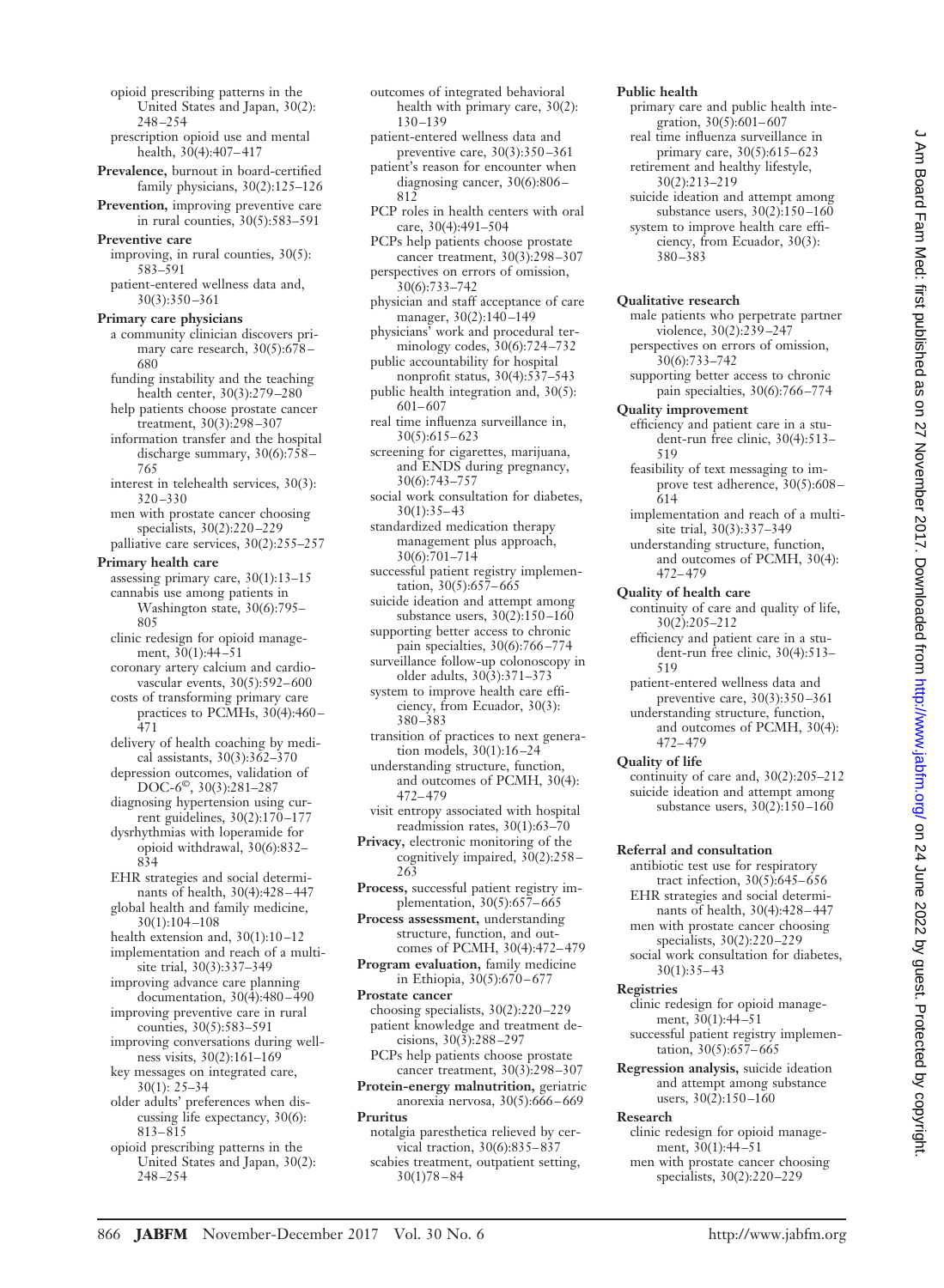- opioid prescribing patterns in the United States and Japan, 30(2): 248 –254
- prescription opioid use and mental health, 30(4):407-417
- **Prevalence,** burnout in board-certified family physicians, 30(2):125–126
- **Prevention,** improving preventive care in rural counties, 30(5):583–591
- **Preventive care**
	- improving, in rural counties, 30(5): 583–591
	- patient-entered wellness data and, 30(3):350 –361

## **Primary care physicians**

a community clinician discovers primary care research, 30(5):678 – 680

- funding instability and the teaching health center, 30(3):279 –280 help patients choose prostate cancer
- treatment, 30(3):298 –307 information transfer and the hospital
- discharge summary, 30(6):758 765
- interest in telehealth services, 30(3): 320 –330
- men with prostate cancer choosing specialists, 30(2):220 –229 palliative care services, 30(2):255–257

#### **Primary health care**

- assessing primary care, 30(1):13–15 cannabis use among patients in Washington state, 30(6):795– 805 clinic redesign for opioid manage-
- ment, 30(1):44-51 coronary artery calcium and cardio-
- vascular events, 30(5):592– 600 costs of transforming primary care
- practices to PCMHs, 30(4):460-471
- delivery of health coaching by medical assistants, 30(3):362–370 depression outcomes, validation of
- DOC-6©, 30(3):281–287 diagnosing hypertension using cur-
- rent guidelines, 30(2):170 –177 dysrhythmias with loperamide for opioid withdrawal, 30(6):832–
- 834 EHR strategies and social determi-
- nants of health, 30(4):428 447 global health and family medicine, 30(1):104 –108
- health extension and, 30(1):10 –12
- implementation and reach of a multisite trial, 30(3):337–349
- improving advance care planning documentation, 30(4):480 – 490
- improving preventive care in rural counties, 30(5):583–591
- improving conversations during wellness visits, 30(2):161–169 key messages on integrated care,
- 30(1): 25–34
- older adults' preferences when discussing life expectancy, 30(6): 813– 815
- opioid prescribing patterns in the United States and Japan, 30(2): 248 –254
- outcomes of integrated behavioral health with primary care, 30(2): 130 –139
- patient-entered wellness data and preventive care, 30(3):350 –361
- patient's reason for encounter when diagnosing cancer, 30(6):806 – 812
- PCP roles in health centers with oral care, 30(4):491–504
- PCPs help patients choose prostate cancer treatment, 30(3):298 –307 perspectives on errors of omission,
- 30(6):733–742 physician and staff acceptance of care manager, 30(2):140-149
- physicians' work and procedural terminology codes, 30(6):724 –732
- public accountability for hospital nonprofit status, 30(4):537–543
- public health integration and, 30(5): 601– 607
- real time influenza surveillance in, 30(5):615– 623
- screening for cigarettes, marijuana, and ENDS during pregnancy, 30(6):743–757
- social work consultation for diabetes,  $30(1):35-43$
- standardized medication therapy management plus approach, 30(6):701–714
- successful patient registry implementation,  $30(5):657-665$
- suicide ideation and attempt among substance users, 30(2):150-160
- supporting better access to chronic pain specialties, 30(6):766 –774
- surveillance follow-up colonoscopy in older adults, 30(3):371–373
- system to improve health care efficiency, from Ecuador, 30(3): 380 –383
- transition of practices to next generation models, 30(1):16 –24
- understanding structure, function, and outcomes of PCMH, 30(4): 472– 479
- visit entropy associated with hospital readmission rates, 30(1):63–70
- **Privacy,** electronic monitoring of the cognitively impaired, 30(2):258 – 263
- **Process,** successful patient registry implementation, 30(5):657-665
- **Process assessment,** understanding structure, function, and outcomes of PCMH, 30(4):472– 479
- **Program evaluation,** family medicine in Ethiopia, 30(5):670 – 677
- **Prostate cancer**
- choosing specialists, 30(2):220 –229 patient knowledge and treatment decisions, 30(3):288 –297 PCPs help patients choose prostate
- cancer treatment, 30(3):298 –307 **Protein-energy malnutrition,** geriatric
- anorexia nervosa, 30(5):666 669 **Pruritus**
	- notalgia paresthetica relieved by cervical traction, 30(6):835– 837 scabies treatment, outpatient setting,  $30(1)78 - 84$

## **Public health**

- primary care and public health integration, 30(5):601-607 real time influenza surveillance in
- primary care, 30(5):615-623 retirement and healthy lifestyle,
- 30(2):213–219 suicide ideation and attempt among substance users,  $30(2):150-160$
- system to improve health care efficiency, from Ecuador, 30(3): 380 –383

### **Qualitative research**

- male patients who perpetrate partner violence, 30(2):239 –247 perspectives on errors of omission, 30(6):733–742
- supporting better access to chronic pain specialties, 30(6):766 –774

### **Quality improvement**

- efficiency and patient care in a student-run free clinic, 30(4):513– 519
- feasibility of text messaging to improve test adherence, 30(5):608 – 614
- implementation and reach of a multisite trial, 30(3):337–349
- understanding structure, function, and outcomes of PCMH, 30(4): 472– 479
- **Quality of health care**
- continuity of care and quality of life, 30(2):205–212
- efficiency and patient care in a student-run free clinic, 30(4):513– 519
- patient-entered wellness data and
- preventive care, 30(3):350 –361 understanding structure, function, and outcomes of PCMH, 30(4): 472– 479
- **Quality of life**
	- continuity of care and, 30(2):205–212 suicide ideation and attempt among substance users, 30(2):150 –160

## **Referral and consultation**

- antibiotic test use for respiratory tract infection,  $30(5)$ :645–656 EHR strategies and social determinants of health, 30(4):428 – 447 men with prostate cancer choosing
- specialists, 30(2):220 –229 social work consultation for diabetes,
- $30(1):35-43$

# **Registries**

- clinic redesign for opioid management,  $30(1):44-51$ successful patient registry implementation, 30(5):657-665
- **Regression analysis,** suicide ideation and attempt among substance users,  $30(\overline{2})$ :150-160

## **Research**

clinic redesign for opioid management, 30(1):44 –51 men with prostate cancer choosing specialists, 30(2):220 –229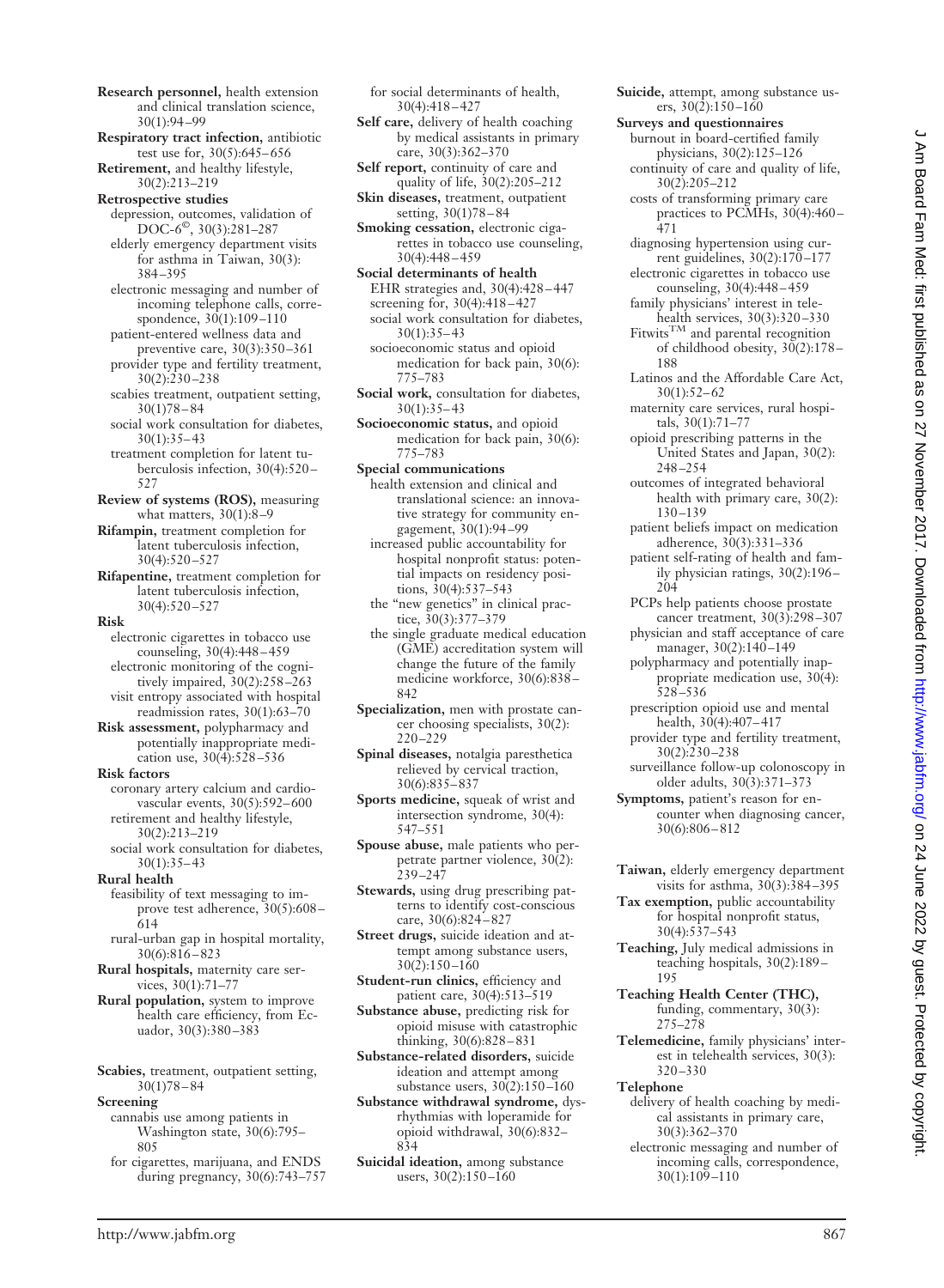- **Research personnel,** health extension and clinical translation science, 30(1):94 –99
- **Respiratory tract infection,** antibiotic test use for, 30(5):645– 656
- **Retirement,** and healthy lifestyle, 30(2):213–219

**Retrospective studies**

- depression, outcomes, validation of DOC-6©, 30(3):281–287 elderly emergency department visits
- for asthma in Taiwan, 30(3): 384 –395
- electronic messaging and number of incoming telephone calls, correspondence, 30(1):109-110 patient-entered wellness data and
- preventive care, 30(3):350 –361 provider type and fertility treatment,
- $30(2):230 238$ scabies treatment, outpatient setting,
- 30(1)78 84 social work consultation for diabetes,  $30(1):35-43$
- treatment completion for latent tuberculosis infection, 30(4):520 – 527
- **Review of systems (ROS),** measuring what matters, 30(1):8-9
- **Rifampin,** treatment completion for latent tuberculosis infection, 30(4):520 –527
- **Rifapentine,** treatment completion for latent tuberculosis infection, 30(4):520 –527

## **Risk**

- electronic cigarettes in tobacco use counseling, 30(4):448 – 459 electronic monitoring of the cognitively impaired, 30(2):258 –263 visit entropy associated with hospital
- readmission rates, 30(1):63–70 **Risk assessment,** polypharmacy and
- potentially inappropriate medication use,  $30(4):528-536$ **Risk factors**
- coronary artery calcium and cardiovascular events, 30(5):592– 600 retirement and healthy lifestyle, 30(2):213–219
- social work consultation for diabetes,  $30(1):35-43$
- **Rural health**
	- feasibility of text messaging to improve test adherence, 30(5):608 – 614
- rural-urban gap in hospital mortality, 30(6):816 – 823
- **Rural hospitals,** maternity care services, 30(1):71–77
- **Rural population,** system to improve health care efficiency, from Ecuador, 30(3):380-383
- **Scabies,** treatment, outpatient setting, 30(1)78 – 84
- **Screening** cannabis use among patients in Washington state, 30(6):795– 805
	- for cigarettes, marijuana, and ENDS during pregnancy, 30(6):743–757

for social determinants of health, 30(4):418 – 427

- **Self care,** delivery of health coaching by medical assistants in primary care, 30(3):362–370
- **Self report,** continuity of care and quality of life, 30(2):205–212
- **Skin diseases,** treatment, outpatient setting, 30(1)78 – 84
- **Smoking cessation,** electronic cigarettes in tobacco use counseling, 30(4):448 – 459
- **Social determinants of health** EHR strategies and, 30(4):428 – 447 screening for, 30(4):418 – 427 social work consultation for diabetes,
	- $30(1):35-43$ socioeconomic status and opioid medication for back pain, 30(6):
- 775–783 **Social work,** consultation for diabetes, 30(1):35– 43
- **Socioeconomic status,** and opioid medication for back pain, 30(6): 775–783
- **Special communications**
- health extension and clinical and translational science: an innovative strategy for community engagement, 30(1):94 –99
- increased public accountability for hospital nonprofit status: potential impacts on residency positions, 30(4):537–543
- the "new genetics" in clinical practice, 30(3):377–379
- the single graduate medical education (GME) accreditation system will change the future of the family medicine workforce, 30(6):838 – 842
- **Specialization,** men with prostate cancer choosing specialists, 30(2): 220 –229
- **Spinal diseases,** notalgia paresthetica relieved by cervical traction, 30(6):835– 837
- **Sports medicine,** squeak of wrist and intersection syndrome, 30(4): 547–551
- **Spouse abuse,** male patients who perpetrate partner violence, 30(2): 239 –247
- **Stewards,** using drug prescribing patterns to identify cost-conscious care, 30(6):824 – 827
- **Street drugs,** suicide ideation and attempt among substance users,  $30(2):150 - 160$
- **Student-run clinics,** efficiency and patient care, 30(4):513–519
- **Substance abuse,** predicting risk for opioid misuse with catastrophic thinking, 30(6):828 – 831
- **Substance-related disorders,** suicide ideation and attempt among substance users, 30(2):150-160
- **Substance withdrawal syndrome,** dysrhythmias with loperamide for opioid withdrawal, 30(6):832– 834
- **Suicidal ideation,** among substance users, 30(2):150-160
- **Suicide,** attempt, among substance users,  $30(\overline{2})$ :150-160
- **Surveys and questionnaires**
	- burnout in board-certified family physicians, 30(2):125–126 continuity of care and quality of life,
	- 30(2):205–212 costs of transforming primary care
	- practices to PCMHs, 30(4):460 471
	- diagnosing hypertension using current guidelines, 30(2):170 –177
	- electronic cigarettes in tobacco use counseling, 30(4):448 – 459
	- family physicians' interest in telehealth services, 30(3):320–330<br>Fitwits<sup>TM</sup> and parental recognition
	- of childhood obesity,  $30(2):178$ -188
	- Latinos and the Affordable Care Act,  $30(1):52-62$
	- maternity care services, rural hospitals, 30(1):71–77
	- opioid prescribing patterns in the United States and Japan, 30(2): 248 –254
	- outcomes of integrated behavioral health with primary care, 30(2): 130 –139
	- patient beliefs impact on medication adherence, 30(3):331–336
	- patient self-rating of health and family physician ratings, 30(2):196 – 204
	- PCPs help patients choose prostate cancer treatment, 30(3):298 –307
	- physician and staff acceptance of care manager, 30(2):140-149
	- polypharmacy and potentially inappropriate medication use,  $30(4)$ :  $528 - 536$
	- prescription opioid use and mental health, 30(4):407-417
	- provider type and fertility treatment,  $30(2):230 - 238$
	- surveillance follow-up colonoscopy in older adults, 30(3):371–373
- **Symptoms,** patient's reason for encounter when diagnosing cancer, 30(6):806 – 812
- **Taiwan,** elderly emergency department visits for asthma, 30(3):384 –395
- **Tax exemption,** public accountability for hospital nonprofit status, 30(4):537–543
- **Teaching,** July medical admissions in teaching hospitals, 30(2):189 – 195
- **Teaching Health Center (THC),** funding, commentary, 30(3): 275–278
- **Telemedicine,** family physicians' interest in telehealth services, 30(3): 320 –330
- **Telephone**
	- delivery of health coaching by medical assistants in primary care, 30(3):362–370
	- electronic messaging and number of incoming calls, correspondence, 30(1):109 –110